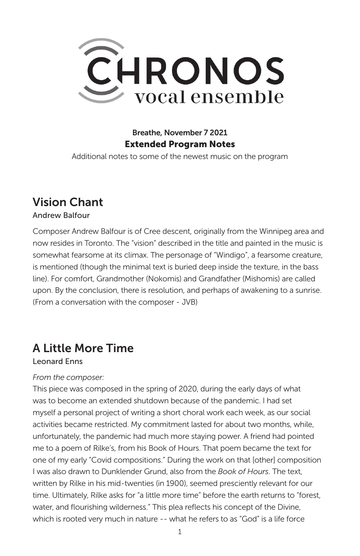

## Breathe, November 7 2021 Extended Program Notes

Additional notes to some of the newest music on the program

# Vision Chant

### Andrew Balfour

Composer Andrew Balfour is of Cree descent, originally from the Winnipeg area and now resides in Toronto. The "vision" described in the title and painted in the music is somewhat fearsome at its climax. The personage of "Windigo", a fearsome creature, is mentioned (though the minimal text is buried deep inside the texture, in the bass line). For comfort, Grandmother (Nokomis) and Grandfather (Mishomis) are called upon. By the conclusion, there is resolution, and perhaps of awakening to a sunrise. (From a conversation with the composer - JVB)

## A Little More Time

#### Leonard Enns

#### *From the composer:*

This piece was composed in the spring of 2020, during the early days of what was to become an extended shutdown because of the pandemic. I had set myself a personal project of writing a short choral work each week, as our social activities became restricted. My commitment lasted for about two months, while, unfortunately, the pandemic had much more staying power. A friend had pointed me to a poem of Rilke's, from his Book of Hours. That poem became the text for one of my early "Covid compositions." During the work on that [other] composition I was also drawn to Dunklender Grund, also from the *Book of Hours*. The text, written by Rilke in his mid-twenties (in 1900), seemed presciently relevant for our time. Ultimately, Rilke asks for "a little more time" before the earth returns to "forest, water, and flourishing wilderness." This plea reflects his concept of the Divine, which is rooted very much in nature -- what he refers to as "God" is a life force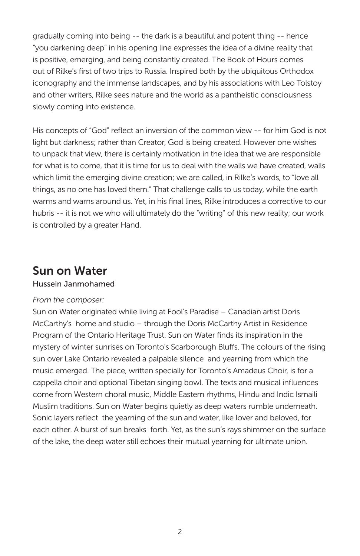gradually coming into being -- the dark is a beautiful and potent thing -- hence "you darkening deep" in his opening line expresses the idea of a divine reality that is positive, emerging, and being constantly created. The Book of Hours comes out of Rilke's first of two trips to Russia. Inspired both by the ubiquitous Orthodox iconography and the immense landscapes, and by his associations with Leo Tolstoy and other writers, Rilke sees nature and the world as a pantheistic consciousness slowly coming into existence.

His concepts of "God" reflect an inversion of the common view -- for him God is not light but darkness; rather than Creator, God is being created. However one wishes to unpack that view, there is certainly motivation in the idea that we are responsible for what is to come, that it is time for us to deal with the walls we have created, walls which limit the emerging divine creation; we are called, in Rilke's words, to "love all things, as no one has loved them." That challenge calls to us today, while the earth warms and warns around us. Yet, in his final lines, Rilke introduces a corrective to our hubris -- it is not we who will ultimately do the "writing" of this new reality; our work is controlled by a greater Hand.

## Sun on Water

#### Hussein Janmohamed

#### *From the composer:*

Sun on Water originated while living at Fool's Paradise – Canadian artist Doris McCarthy's home and studio – through the Doris McCarthy Artist in Residence Program of the Ontario Heritage Trust. Sun on Water finds its inspiration in the mystery of winter sunrises on Toronto's Scarborough Bluffs. The colours of the rising sun over Lake Ontario revealed a palpable silence and yearning from which the music emerged. The piece, written specially for Toronto's Amadeus Choir, is for a cappella choir and optional Tibetan singing bowl. The texts and musical influences come from Western choral music, Middle Eastern rhythms, Hindu and Indic Ismaili Muslim traditions. Sun on Water begins quietly as deep waters rumble underneath. Sonic layers reflect the yearning of the sun and water, like lover and beloved, for each other. A burst of sun breaks forth. Yet, as the sun's rays shimmer on the surface of the lake, the deep water still echoes their mutual yearning for ultimate union.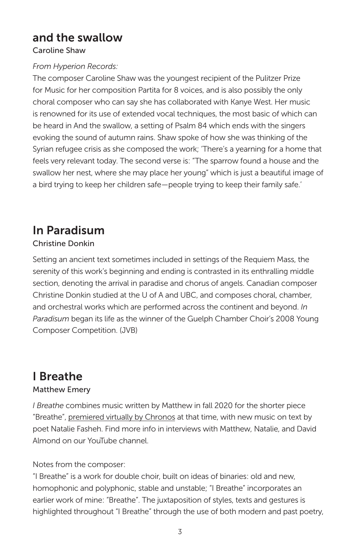# and the swallow

### Caroline Shaw

### *From Hyperion Records:*

The composer Caroline Shaw was the youngest recipient of the Pulitzer Prize for Music for her composition Partita for 8 voices, and is also possibly the only choral composer who can say she has collaborated with Kanye West. Her music is renowned for its use of extended vocal techniques, the most basic of which can be heard in And the swallow, a setting of Psalm 84 which ends with the singers evoking the sound of autumn rains. Shaw spoke of how she was thinking of the Syrian refugee crisis as she composed the work; 'There's a yearning for a home that feels very relevant today. The second verse is: "The sparrow found a house and the swallow her nest, where she may place her young" which is just a beautiful image of a bird trying to keep her children safe—people trying to keep their family safe.'

# In Paradisum

### Christine Donkin

Setting an ancient text sometimes included in settings of the Requiem Mass, the serenity of this work's beginning and ending is contrasted in its enthralling middle section, denoting the arrival in paradise and chorus of angels. Canadian composer Christine Donkin studied at the U of A and UBC, and composes choral, chamber, and orchestral works which are performed across the continent and beyond. *In Paradisum* began its life as the winner of the Guelph Chamber Choir's 2008 Young Composer Competition. (JVB)

# I Breathe

### Matthew Emery

*I Breathe* combines music written by Matthew in fall 2020 for the shorter piece "Breathe", premiered virtually by Chronos at that time, with new music on text by poet Natalie Fasheh. Find more info in interviews with Matthew, Natalie, and David Almond on our YouTube channel.

### Notes from the composer:

"I Breathe" is a work for double choir, built on ideas of binaries: old and new, homophonic and polyphonic, stable and unstable; "I Breathe" incorporates an earlier work of mine: "Breathe". The juxtaposition of styles, texts and gestures is highlighted throughout "I Breathe" through the use of both modern and past poetry,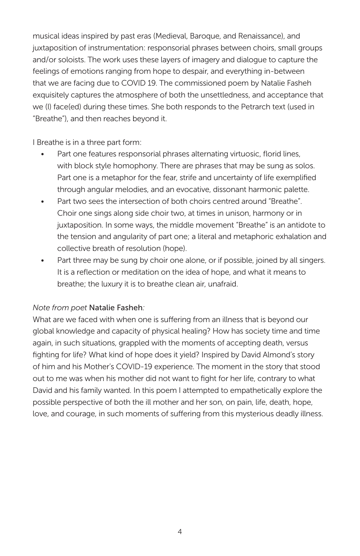musical ideas inspired by past eras (Medieval, Baroque, and Renaissance), and juxtaposition of instrumentation: responsorial phrases between choirs, small groups and/or soloists. The work uses these layers of imagery and dialogue to capture the feelings of emotions ranging from hope to despair, and everything in-between that we are facing due to COVID 19. The commissioned poem by Natalie Fasheh exquisitely captures the atmosphere of both the unsettledness, and acceptance that we (I) face(ed) during these times. She both responds to the Petrarch text (used in "Breathe"), and then reaches beyond it.

I Breathe is in a three part form:

- Part one features responsorial phrases alternating virtuosic, florid lines, with block style homophony. There are phrases that may be sung as solos. Part one is a metaphor for the fear, strife and uncertainty of life exemplified through angular melodies, and an evocative, dissonant harmonic palette.
- Part two sees the intersection of both choirs centred around "Breathe". Choir one sings along side choir two, at times in unison, harmony or in juxtaposition. In some ways, the middle movement "Breathe" is an antidote to the tension and angularity of part one; a literal and metaphoric exhalation and collective breath of resolution (hope).
- Part three may be sung by choir one alone, or if possible, joined by all singers. It is a reflection or meditation on the idea of hope, and what it means to breathe; the luxury it is to breathe clean air, unafraid.

#### *Note from poet* Natalie Fasheh*:*

What are we faced with when one is suffering from an illness that is beyond our global knowledge and capacity of physical healing? How has society time and time again, in such situations, grappled with the moments of accepting death, versus fighting for life? What kind of hope does it yield? Inspired by David Almond's story of him and his Mother's COVID-19 experience. The moment in the story that stood out to me was when his mother did not want to fight for her life, contrary to what David and his family wanted. In this poem I attempted to empathetically explore the possible perspective of both the ill mother and her son, on pain, life, death, hope, love, and courage, in such moments of suffering from this mysterious deadly illness.